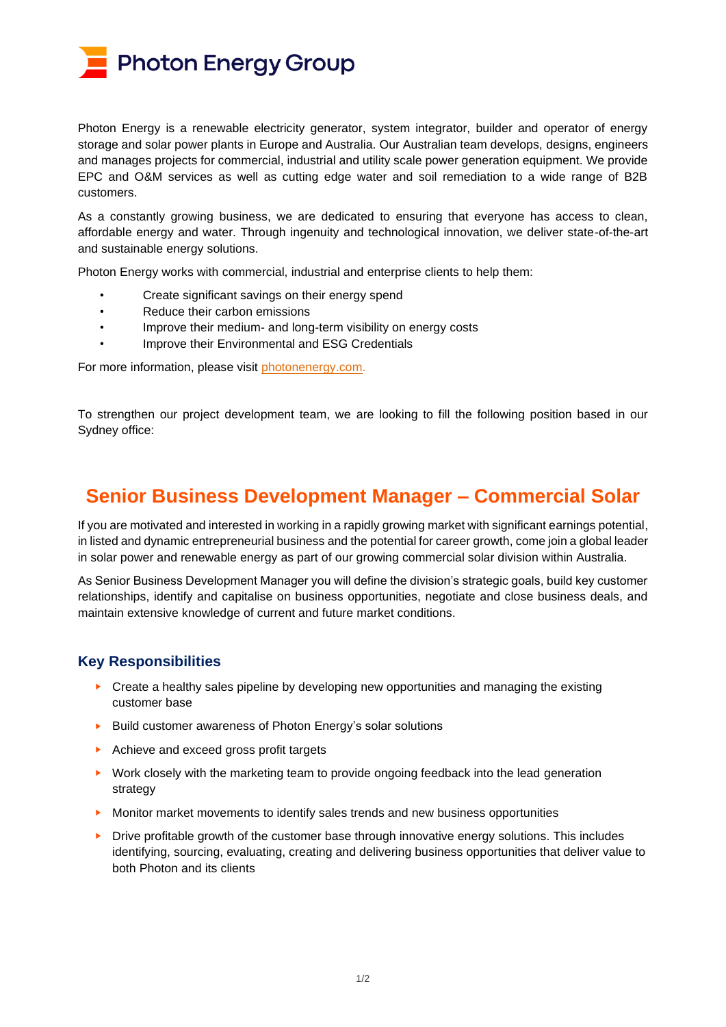**Photon Energy Group** 

Photon Energy is a renewable electricity generator, system integrator, builder and operator of energy storage and solar power plants in Europe and Australia. Our Australian team develops, designs, engineers and manages projects for commercial, industrial and utility scale power generation equipment. We provide EPC and O&M services as well as cutting edge water and soil remediation to a wide range of B2B customers.

As a constantly growing business, we are dedicated to ensuring that everyone has access to clean, affordable energy and water. Through ingenuity and technological innovation, we deliver state-of-the-art and sustainable energy solutions.

Photon Energy works with commercial, industrial and enterprise clients to help them:

- Create significant savings on their energy spend
- Reduce their carbon emissions
- Improve their medium- and long-term visibility on energy costs
- Improve their Environmental and ESG Credentials

For more information, please visit [photonenergy.com.](https://www.photonenergy.com/)

To strengthen our project development team, we are looking to fill the following position based in our Sydney office:

## **Senior Business Development Manager – Commercial Solar**

If you are motivated and interested in working in a rapidly growing market with significant earnings potential, in listed and dynamic entrepreneurial business and the potential for career growth, come join a global leader in solar power and renewable energy as part of our growing commercial solar division within Australia.

As Senior Business Development Manager you will define the division's strategic goals, build key customer relationships, identify and capitalise on business opportunities, negotiate and close business deals, and maintain extensive knowledge of current and future market conditions.

## **Key Responsibilities**

- ► Create a healthy sales pipeline by developing new opportunities and managing the existing customer base
- ► Build customer awareness of Photon Energy's solar solutions
- ► Achieve and exceed gross profit targets
- ► Work closely with the marketing team to provide ongoing feedback into the lead generation strategy
- ► Monitor market movements to identify sales trends and new business opportunities
- ► Drive profitable growth of the customer base through innovative energy solutions. This includes identifying, sourcing, evaluating, creating and delivering business opportunities that deliver value to both Photon and its clients